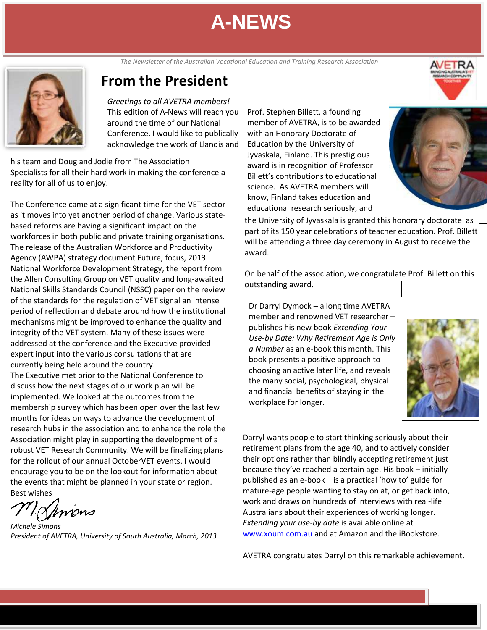The Newsletter of the Australian Vocational Education and Training Research Association<br> **The Study of Lines of Lines Contra** 



# **From the President**

*Greetings to all AVETRA members!* This edition of A-News will reach you around the time of our National Conference. I would like to publically acknowledge the work of Llandis and

his team and Doug and Jodie from The Association Specialists for all their hard work in making the conference a reality for all of us to enjoy.

. The release of the Australian Workforce and Productivity The Conference came at a significant time for the VET sector as it moves into yet another period of change. Various statebased reforms are having a significant impact on the workforces in both public and private training organisations. Agency (AWPA) strategy document Future, focus, 2013 National Workforce Development Strategy, the report from the Allen Consulting Group on VET quality and long-awaited National Skills Standards Council (NSSC) paper on the review of the standards for the regulation of VET signal an intense period of reflection and debate around how the institutional mechanisms might be improved to enhance the quality and integrity of the VET system. Many of these issues were addressed at the conference and the Executive provided expert input into the various consultations that are currently being held around the country.

The Executive met prior to the National Conference to discuss how the next stages of our work plan will be implemented. We looked at the outcomes from the membership survey which has been open over the last few months for ideas on ways to advance the development of research hubs in the association and to enhance the role the Association might play in supporting the development of a robust VET Research Community. We will be finalizing plans for the rollout of our annual OctoberVET events. I would encourage you to be on the lookout for information about the events that might be planned in your state or region.

Best wishes

Bhnons

*Michele Simons President of AVETRA, University of South Australia, March, 2013*

Prof. Stephen Billett, a founding member of AVETRA, is to be awarded with an Honorary Doctorate of Education by the University of Jyvaskala, Finland. This prestigious award is in recognition of Professor Billett's contributions to educational science. As AVETRA members will know, Finland takes education and educational research seriously, and



the University of Jyvaskala is granted this honorary doctorate as part of its 150 year celebrations of teacher education. Prof. Billett will be attending a three day ceremony in August to receive the award.

On behalf of the association, we congratulate Prof. Billett on this outstanding award.

Dr Darryl Dymock – a long time AVETRA member and renowned VET researcher – publishes his new book *Extending Your Use-by Date: Why Retirement Age is Only a Number* as an e-book this month. This book presents a positive approach to choosing an active later life, and reveals the many social, psychological, physical and financial benefits of staying in the workplace for longer.



Darryl wants people to start thinking seriously about their retirement plans from the age 40, and to actively consider their options rather than blindly accepting retirement just because they've reached a certain age. His book – initially published as an e-book – is a practical 'how to' guide for mature-age people wanting to stay on at, or get back into, work and draws on hundreds of interviews with real-life Australians about their experiences of working longer. *Extending your use-by date* is available online at [www.xoum.com.au](http://www.xoum.com.au/) and at Amazon and the iBookstore.

AVETRA congratulates Darryl on this remarkable achievement.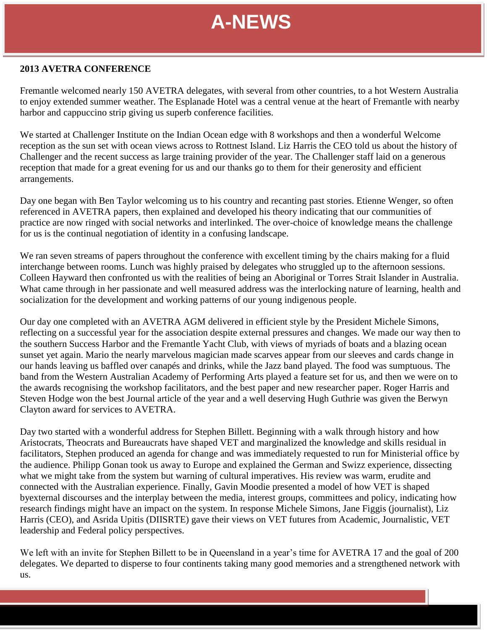# **2013 AVETRA CONFERENCE**

Fremantle welcomed nearly 150 AVETRA delegates, with several from other countries, to a hot Western Australia to enjoy extended summer weather. The Esplanade Hotel was a central venue at the heart of Fremantle with nearby harbor and cappuccino strip giving us superb conference facilities.

We started at Challenger Institute on the Indian Ocean edge with 8 workshops and then a wonderful Welcome reception as the sun set with ocean views across to Rottnest Island. Liz Harris the CEO told us about the history of Challenger and the recent success as large training provider of the year. The Challenger staff laid on a generous reception that made for a great evening for us and our thanks go to them for their generosity and efficient arrangements.

Day one began with Ben Taylor welcoming us to his country and recanting past stories. Etienne Wenger, so often referenced in AVETRA papers, then explained and developed his theory indicating that our communities of practice are now ringed with social networks and interlinked. The over-choice of knowledge means the challenge for us is the continual negotiation of identity in a confusing landscape.

We ran seven streams of papers throughout the conference with excellent timing by the chairs making for a fluid interchange between rooms. Lunch was highly praised by delegates who struggled up to the afternoon sessions. Colleen Hayward then confronted us with the realities of being an Aboriginal or Torres Strait Islander in Australia. What came through in her passionate and well measured address was the interlocking nature of learning, health and socialization for the development and working patterns of our young indigenous people.

sunset yet again. Mario the nearly marvelous magician made scarves appear from our sleeves and cards change in our hands leaving us baffled over canapés and drinks, while the Jazz band played. The food was sumptuous. The Our day one completed with an AVETRA AGM delivered in efficient style by the President Michele Simons, reflecting on a successful year for the association despite external pressures and changes. We made our way then to the southern Success Harbor and the Fremantle Yacht Club, with views of myriads of boats and a blazing ocean band from the Western Australian Academy of Performing Arts played a feature set for us, and then we were on to the awards recognising the workshop facilitators, and the best paper and new researcher paper. Roger Harris and Steven Hodge won the best Journal article of the year and a well deserving Hugh Guthrie was given the Berwyn Clayton award for services to AVETRA.

Day two started with a wonderful address for Stephen Billett. Beginning with a walk through history and how Aristocrats, Theocrats and Bureaucrats have shaped VET and marginalized the knowledge and skills residual in facilitators, Stephen produced an agenda for change and was immediately requested to run for Ministerial office by the audience. Philipp Gonan took us away to Europe and explained the German and Swizz experience, dissecting what we might take from the system but warning of cultural imperatives. His review was warm, erudite and connected with the Australian experience. Finally, Gavin Moodie presented a model of how VET is shaped byexternal discourses and the interplay between the media, interest groups, committees and policy, indicating how research findings might have an impact on the system. In response Michele Simons, Jane Figgis (journalist), Liz Harris (CEO), and Asrida Upitis (DIISRTE) gave their views on VET futures from Academic, Journalistic, VET leadership and Federal policy perspectives.

We left with an invite for Stephen Billett to be in Queensland in a year's time for AVETRA 17 and the goal of 200 delegates. We departed to disperse to four continents taking many good memories and a strengthened network with us.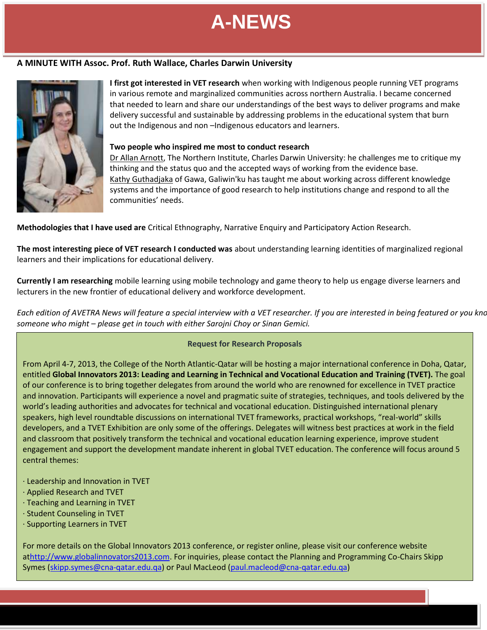# **June 2012 A MINUTE WITH Assoc. Prof. Ruth Wallace, Charles Darwin University**



**I first got interested in VET research** when working with Indigenous people running VET programs in various remote and marginalized communities across northern Australia. I became concerned that needed to learn and share our understandings of the best ways to deliver programs and make delivery successful and sustainable by addressing problems in the educational system that burn out the Indigenous and non –Indigenous educators and learners.

### **Two people who inspired me most to conduct research**

Dr Allan Arnott, The Northern Institute, Charles Darwin University: he challenges me to critique my thinking and the status quo and the accepted ways of working from the evidence base. Kathy Guthadjaka of Gawa, Galiwin'ku has taught me about working across different knowledge systems and the importance of good research to help institutions change and respond to all the communities' needs.

**Methodologies that I have used are** Critical Ethnography, Narrative Enquiry and Participatory Action Research. the education system education system in the profession of the professional design of  $\mu$ 

**The most interesting piece of VET research I conducted was** about understanding learning identities of marginalized regional learners and their implications for educational delivery.

**Currently I am researching** mobile learning using mobile technology and game theory to help us engage diverse learners and lecturers in the new frontier of educational delivery and workforce development.

*Each edition of AVETRA News will feature a special interview with a VET researcher. If you are interested in being featured or you know someone who might – please get in touch with either Sarojni Choy or Sinan Gemici.*

# **Request for Research Proposals**

From April 4-7, 2013, the College of the North Atlantic-Qatar will be hosting a major international conference in Doha, Qatar, entitled **Global Innovators 2013: Leading and Learning in Technical and Vocational Education and Training (TVET).** The goal of our conference is to bring together delegates from around the world who are renowned for excellence in TVET practice and innovation. Participants will experience a novel and pragmatic suite of strategies, techniques, and tools delivered by the world's leading authorities and advocates for technical and vocational education. Distinguished international plenary speakers, high level roundtable discussions on international TVET frameworks, practical workshops, "real-world" skills developers, and a TVET Exhibition are only some of the offerings. Delegates will witness best practices at work in the field and classroom that positively transform the technical and vocational education learning experience, improve student engagement and support the development mandate inherent in global TVET education. The conference will focus around 5 central themes:

- · Leadership and Innovation in TVET
- · Applied Research and TVET
- · Teaching and Learning in TVET
- · Student Counseling in TVET
- · Supporting Learners in TVET

For more details on the Global Innovators 2013 conference, or register online, please visit our conference website a[thttp://www.globalinnovators2013.com.](http://www.globalinnovators2013.com/) For inquiries, please contact the Planning and Programming Co-Chairs Skipp Symes [\(skipp.symes@cna-qatar.edu.qa\)](mailto:skipp.symes@cna-qatar.edu.qa) or Paul MacLeod [\(paul.macleod@cna-qatar.edu.qa\)](mailto:paul.macleod@cna-qatar.edu.qa)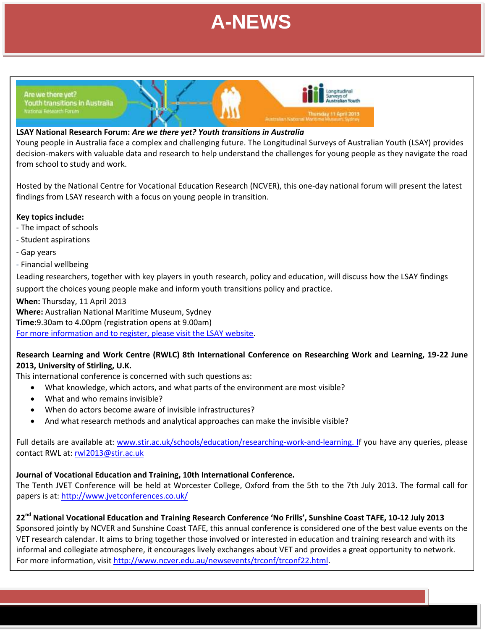

**June 2012**



# **LSAY National Research Forum:** *Are we there yet? Youth transitions in Australia*

Young people in Australia face a complex and challenging future. The Longitudinal Surveys of Australian Youth (LSAY) provides decision-makers with valuable data and research to help understand the challenges for young people as they navigate the road from school to study and work.

Hosted by the National Centre for Vocational Education Research (NCVER), this one-day national forum will present the latest findings from LSAY research with a focus on young people in transition.

## **Key topics include:**

- The impact of schools
- Student aspirations
- Gap years
- Financial wellbeing

Leading researchers, together with key players in youth research, policy and education, will discuss how the LSAY findings support the choices young people make and inform youth transitions policy and practice.

## **When:** Thursday, 11 April 2013

**Where:** Australian National Maritime Museum, Sydney

**Time:**9.30am to 4.00pm (registration opens at 9.00am)

[For more information and to register, please visit the LSAY website.](http://www.lsay.edu.au/newsevents/events.html)

# **Research Learning and Work Centre (RWLC) 8th International Conference on Researching Work and Learning, 19-22 June 2013, University of Stirling, U.K.**

This international conference is concerned with such questions as:

- What knowledge, which actors, and what parts of the environment are most visible?
- What and who remains invisible?
- When do actors become aware of invisible infrastructures?
- And what research methods and analytical approaches can make the invisible visible?

Full details are available at: [www.stir.ac.uk/schools/education/researching-work-and-learning.](http://www.stir.ac.uk/schools/education/researching-work-and-learning) If you have any queries, please contact RWL at[: rwl2013@stir.ac.uk](mailto:rwl2013@stir.ac.uk)

# **Journal of Vocational Education and Training, 10th International Conference.**

The Tenth JVET Conference will be held at Worcester College, Oxford from the 5th to the 7th July 2013. The formal call for papers is at:<http://www.jvetconferences.co.uk/>

# **22nd National Vocational Education and Training Research Conference 'No Frills', Sunshine Coast TAFE, 10-12 July 2013**

Sponsored jointly by NCVER and Sunshine Coast TAFE, this annual conference is considered one of the best value events on the VET research calendar. It aims to bring together those involved or interested in education and training research and with its informal and collegiate atmosphere, it encourages lively exchanges about VET and provides a great opportunity to network. For more information, visit [http://www.ncver.edu.au/newsevents/trconf/trconf22.html.](http://www.ncver.edu.au/newsevents/trconf/trconf22.html)